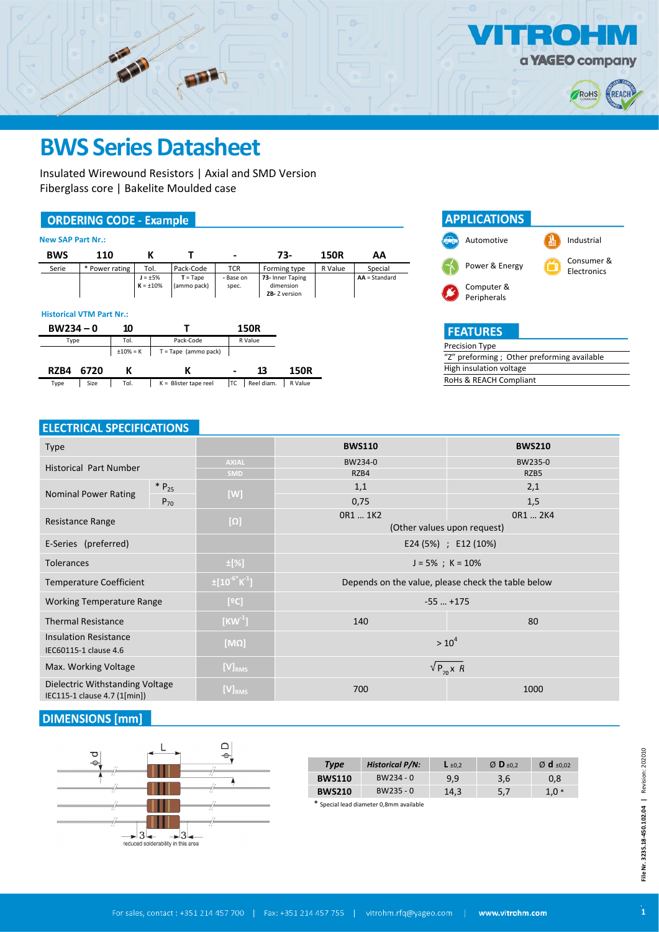

Insulated Wirewound Resistors | Axial and SMD Version Fiberglass core | Bakelite Moulded case

### **ORDERING CODE - Example**

**CITY** 

| <b>BWS</b> | 110            |                                 |                           | ۰                  | 73-                                           | 150R    | AA              |
|------------|----------------|---------------------------------|---------------------------|--------------------|-----------------------------------------------|---------|-----------------|
| Serie      | * Power rating | Tol.                            | Pack-Code                 | <b>TCR</b>         | Forming type                                  | R Value | Special         |
|            |                | $J = \pm 5\%$<br>$K = \pm 10\%$ | $T = Tape$<br>(ammo pack) | - Base on<br>spec. | 73- Inner Taping<br>dimension<br>ZB-Z version |         | $AA = Standard$ |



### **APPLICATIONS** Automotive **Industrial** Power & Energy Consumer & Electronics Computer & Peripherals**FEATURES**

 $\bullet$ 

a **YAGEO** company

RoHS

REACI

| Precision Type                              |
|---------------------------------------------|
| "Z" preforming ; Other preforming available |
| High insulation voltage                     |
| RoHs & REACH Compliant                      |

### **ELECTRICAL SPECIFICATIONS**

| <b>Type</b>                                                     |                                  | <b>BWS110</b>                                      | <b>BWS210</b>               |  |  |  |  |
|-----------------------------------------------------------------|----------------------------------|----------------------------------------------------|-----------------------------|--|--|--|--|
| <b>Historical Part Number</b>                                   | <b>AXIAL</b>                     | BW234-0                                            | BW235-0                     |  |  |  |  |
|                                                                 | SMD                              | RZB4                                               | RZB5                        |  |  |  |  |
| $* P_{25}$<br><b>Nominal Power Rating</b>                       | [W]                              | 1,1                                                | 2,1                         |  |  |  |  |
| $P_{70}$                                                        |                                  | 0,75                                               | 1,5                         |  |  |  |  |
| Resistance Range                                                | $[\Omega]$                       | OR1  1K2                                           | OR1  2K4                    |  |  |  |  |
|                                                                 |                                  |                                                    | (Other values upon request) |  |  |  |  |
| E-Series (preferred)                                            |                                  | E24 (5%) ; E12 (10%)                               |                             |  |  |  |  |
| <b>Tolerances</b>                                               | $\pm$ [%]                        | $J = 5\%$ ; K = 10%                                |                             |  |  |  |  |
| <b>Temperature Coefficient</b>                                  | $\pm [10^{-6}$ K <sup>-1</sup> ] | Depends on the value, please check the table below |                             |  |  |  |  |
| <b>Working Temperature Range</b>                                | [°C]                             | $-55$ $+175$                                       |                             |  |  |  |  |
| <b>Thermal Resistance</b>                                       | $[KW^1]$                         | 140<br>80                                          |                             |  |  |  |  |
| <b>Insulation Resistance</b>                                    | $[M\overline{\Omega}]$           | $> 10^4$                                           |                             |  |  |  |  |
| IEC60115-1 clause 4.6                                           |                                  |                                                    |                             |  |  |  |  |
| Max. Working Voltage                                            | $[V]_{RMS}$                      | $\sqrt{P_{70} \times R}$                           |                             |  |  |  |  |
| Dielectric Withstanding Voltage<br>IEC115-1 clause 4.7 (1[min]) | $[V]_{RMS}$                      | 700                                                | 1000                        |  |  |  |  |

### **DIMENSIONS** [mm]



| <b>Type</b>   | <b>Historical P/N:</b> | $L_{\pm 0.2}$ | $\emptyset$ D <sub>±0.2</sub> | $\varnothing$ d $\pm 0.02$ |
|---------------|------------------------|---------------|-------------------------------|----------------------------|
| <b>BWS110</b> | $BW234 - 0$            | 9.9           | 3.6                           | 0,8                        |
| <b>BWS210</b> | $BW235 - 0$            | 14.3          | 5,7                           | $1.0*$                     |
| .             | .                      |               |                               |                            |

Special lead diameter 0,8mm available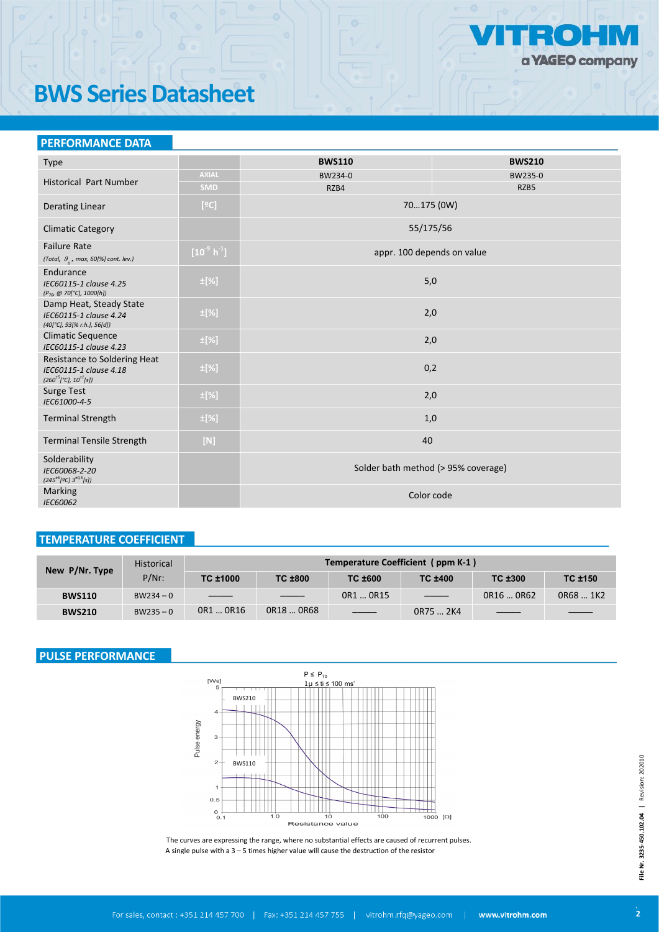

## **BWS Series Datasheet**

| <b>PERFORMANCE DATA</b>                                                                              |                      |                                     |               |
|------------------------------------------------------------------------------------------------------|----------------------|-------------------------------------|---------------|
| <b>Type</b>                                                                                          |                      | <b>BWS110</b>                       | <b>BWS210</b> |
| <b>Historical Part Number</b>                                                                        | <b>AXIAL</b>         | BW234-0                             | BW235-0       |
|                                                                                                      | <b>SMD</b>           | RZB4                                | RZB5          |
| <b>Derating Linear</b>                                                                               | [°C]                 | 70175 (0W)                          |               |
| <b>Climatic Category</b>                                                                             |                      | 55/175/56                           |               |
| <b>Failure Rate</b><br>(Total, $\theta_{0}$ , max, 60[%] cont. lev.)                                 | $[10^9 \text{ h}^1]$ | appr. 100 depends on value          |               |
| Endurance<br>IEC60115-1 clause 4.25<br>(P <sub>70</sub> @ 70[°C], 1000[h])                           | $\pm$ [%]            | 5,0                                 |               |
| Damp Heat, Steady State<br>IEC60115-1 clause 4.24<br>(40[°C], 93[% r.h.], 56[d])                     | $\pm$ [%]            | 2,0                                 |               |
| <b>Climatic Sequence</b><br>IEC60115-1 clause 4.23                                                   | $\pm$ [%]            | 2,0                                 |               |
| Resistance to Soldering Heat<br>IEC60115-1 clause 4.18<br>$(260^{\pm 5} [^{\circ}C], 10^{\pm 1}[s])$ | $\pm$ [%]            | 0,2                                 |               |
| <b>Surge Test</b><br>IEC61000-4-5                                                                    | $\pm$ [%]            | 2,0                                 |               |
| <b>Terminal Strength</b>                                                                             | $\pm$ [%]            | 1,0                                 |               |
| <b>Terminal Tensile Strength</b>                                                                     | $[N]$                | 40                                  |               |
| Solderability<br>IEC60068-2-20<br>$(245^{\pm 5}$ [2C] $3^{\pm 0.5}$ [s])                             |                      | Solder bath method (> 95% coverage) |               |
| Marking<br>IEC60062                                                                                  |                      | Color code                          |               |

### **TEMPERATURE COEFFICIENT**

| New P/Nr. Type | <b>Historical</b> | Temperature Coefficient (ppm K-1) |                |               |                                                                                                                                                                                                                                                                                                                                                                                                                                                                            |            |                |  |  |  |  |  |
|----------------|-------------------|-----------------------------------|----------------|---------------|----------------------------------------------------------------------------------------------------------------------------------------------------------------------------------------------------------------------------------------------------------------------------------------------------------------------------------------------------------------------------------------------------------------------------------------------------------------------------|------------|----------------|--|--|--|--|--|
|                | $P/Nr$ :          | TC ±1000                          | <b>TC ±800</b> | TC ±600       | <b>TC ±400</b>                                                                                                                                                                                                                                                                                                                                                                                                                                                             | TC ±300    | <b>TC ±150</b> |  |  |  |  |  |
| <b>BWS110</b>  | $BW234 - 0$       | $\overline{\phantom{a}}$          | ____           | OR1  OR15     | $\frac{1}{2} \left( \frac{1}{2} \right) \left( \frac{1}{2} \right) \left( \frac{1}{2} \right) \left( \frac{1}{2} \right) \left( \frac{1}{2} \right) \left( \frac{1}{2} \right) \left( \frac{1}{2} \right) \left( \frac{1}{2} \right) \left( \frac{1}{2} \right) \left( \frac{1}{2} \right) \left( \frac{1}{2} \right) \left( \frac{1}{2} \right) \left( \frac{1}{2} \right) \left( \frac{1}{2} \right) \left( \frac{1}{2} \right) \left( \frac{1}{2} \right) \left( \frac$ | OR16  OR62 | OR68  1K2      |  |  |  |  |  |
| <b>BWS210</b>  | $BW235 - 0$       | OR1  OR16                         | OR18  OR68     | $\frac{1}{1}$ | OR75  2K4                                                                                                                                                                                                                                                                                                                                                                                                                                                                  |            |                |  |  |  |  |  |

### **PULSE PERFORMANCE**



The curves are expressing the range, where no substantial effects are caused of recurrent pulses. A single pulse with a 3 – 5 times higher value will cause the destruction of the resistor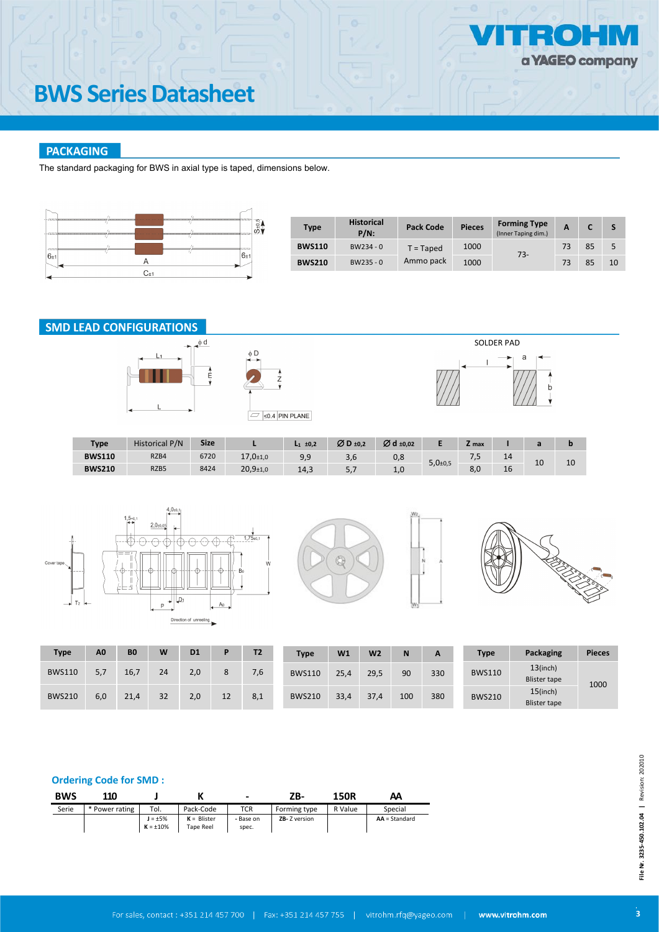# **BWS Series Datasheet**

### **PACKAGING**

The standard packaging for BWS in axial type is taped, dimensions below.



| <b>Type</b>   | <b>Historical</b><br>$P/N$ : | <b>Pack Code</b>    | <b>Pieces</b> | <b>Forming Type</b><br>(Inner Taping dim.) | A  |    |    |
|---------------|------------------------------|---------------------|---------------|--------------------------------------------|----|----|----|
| <b>BWS110</b> | $BW234 - 0$                  | 1000<br>$T = Taped$ |               | $73-$                                      | 73 | 85 | 5  |
| <b>BWS210</b> | $BW235 - 0$                  | Ammo pack           | 1000          |                                            | 73 | 85 | 10 |

### **SMD LEAD CONFIGURATIONS**







| Type          | <b>Historical P/N</b> | <b>Size</b> |                | $L_1$ ±0.2 | $ØD_{\pm 0.2}$ | Ø d ±0,02 |                            | <b>L</b> max |    |    |    |
|---------------|-----------------------|-------------|----------------|------------|----------------|-----------|----------------------------|--------------|----|----|----|
| <b>BWS110</b> | RZB4                  | 6720        | $17,0+1,0$     | 9,9        | 3,0            | 0,8       | $5,0{\scriptstyle \pm0,5}$ | . . -        | 14 | 10 | 10 |
| <b>BWS210</b> | RZB5                  | 8424        | $20,9{\pm}1,0$ | 14,3       | .,             | 1.0       |                            | 8,0          | 16 |    |    |









| Type          | A <sub>0</sub> | B <sub>0</sub> | W  | D <sub>1</sub> |    | T <sub>2</sub> | <b>Type</b>   | W <sub>1</sub> | W <sub>2</sub> | N   | A   | <b>Type</b>   | Packaging                          | <b>Pieces</b> |
|---------------|----------------|----------------|----|----------------|----|----------------|---------------|----------------|----------------|-----|-----|---------------|------------------------------------|---------------|
| <b>BWS110</b> | 5.7            | 16.7           | 24 | 2.0            |    | 7,6            | <b>BWS110</b> | 25,4           | 29,5           | 90  | 330 | <b>BWS110</b> | $13$ (inch)<br><b>Blister tape</b> | 1000          |
| <b>BWS210</b> | 6,0            | 21,4           | 32 | 2.0            | 12 | 8,1            | <b>BWS210</b> | 33,4           | 37,4           | 100 | 380 | <b>BWS210</b> | $15$ (inch)<br><b>Blister tape</b> |               |

#### **Ordering Code for SMD :**

| <b>BWS</b> | 110            |                                |                            | $\overline{\phantom{0}}$ | ZB-                  | <b>150R</b><br>АΑ |                 |  |
|------------|----------------|--------------------------------|----------------------------|--------------------------|----------------------|-------------------|-----------------|--|
| Serie      | * Power rating | Tol.                           | Pack-Code                  | TCR                      | Forming type         | R Value           | Special         |  |
|            |                | $J = \pm 5%$<br>$K = \pm 10\%$ | $K = Blister$<br>Tape Reel | - Base on<br>spec.       | <b>ZB-</b> Z version |                   | $AA = Standard$ |  |